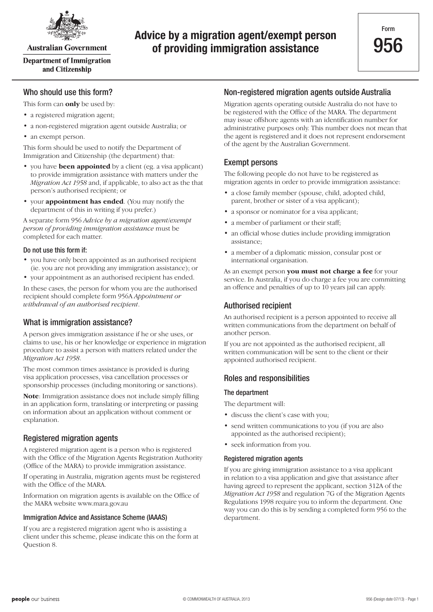

**Australian Government** 

**Department of Immigration** and Citizenship

### **Advice by a migration agent/exempt person of providing immigration assistance**

#### Who should use this form?

This form can **only** be used by:

- a registered migration agent;
- a non-registered migration agent outside Australia; or
- an exempt person.

This form should be used to notify the Department of Immigration and Citizenship (the department) that:

- you have **been appointed** by a client (eg. a visa applicant) to provide immigration assistance with matters under the *Migration Act 1958* and, if applicable, to also act as the that person's authorised recipient; or
- • your **appointment has ended**. (You may notify the department of this in writing if you prefer.)

A separate form 956 *Advice by a migration agent/exempt person of providing immigration assistance* must be completed for each matter.

#### Do not use this form if:

- you have only been appointed as an authorised recipient (ie. you are not providing any immigration assistance); or
- vour appointment as an authorised recipient has ended.

In these cases, the person for whom you are the authorised recipient should complete form 956A *Appointment or withdrawal of an authorised recipient*.

#### What is immigration assistance?

A person gives immigration assistance if he or she uses, or claims to use, his or her knowledge or experience in migration procedure to assist a person with matters related under the *Migration Act 1958*.

The most common times assistance is provided is during visa application processes, visa cancellation processes or sponsorship processes (including monitoring or sanctions).

**Note**: Immigration assistance does not include simply filling in an application form, translating or interpreting or passing on information about an application without comment or explanation.

#### Registered migration agents

A registered migration agent is a person who is registered with the Office of the Migration Agents Registration Authority (Office of the MARA) to provide immigration assistance.

If operating in Australia, migration agents must be registered with the Office of the MARA.

Information on migration agents is available on the Office of the MARA website www.mara.gov.au

#### Immigration Advice and Assistance Scheme (IAAAS)

If you are a registered migration agent who is assisting a client under this scheme, please indicate this on the form at Question 8.

#### Non-registered migration agents outside Australia

Migration agents operating outside Australia do not have to be registered with the Office of the MARA. The department may issue offshore agents with an identification number for administrative purposes only. This number does not mean that the agent is registered and it does not represent endorsement of the agent by the Australian Government.

#### Exempt persons

The following people do not have to be registered as migration agents in order to provide immigration assistance:

- a close family member (spouse, child, adopted child, parent, brother or sister of a visa applicant);
- a sponsor or nominator for a visa applicant;
- a member of parliament or their staff;
- an official whose duties include providing immigration assistance;
- a member of a diplomatic mission, consular post or international organisation.

As an exempt person **you must not charge a fee** for your service. In Australia, if you do charge a fee you are committing an offence and penalties of up to 10 years jail can apply.

#### Authorised recipient

An authorised recipient is a person appointed to receive all written communications from the department on behalf of another person.

If you are not appointed as the authorised recipient, all written communication will be sent to the client or their appointed authorised recipient.

#### Roles and responsibilities

#### The department

The department will:

- discuss the client's case with you;
- send written communications to you (if you are also appointed as the authorised recipient);
- seek information from you.

#### Registered migration agents

If you are giving immigration assistance to a visa applicant in relation to a visa application and give that assistance after having agreed to represent the applicant, section 312A of the *Migration Act 1958* and regulation 7G of the Migration Agents Regulations 1998 require you to inform the department. One way you can do this is by sending a completed form 956 to the department.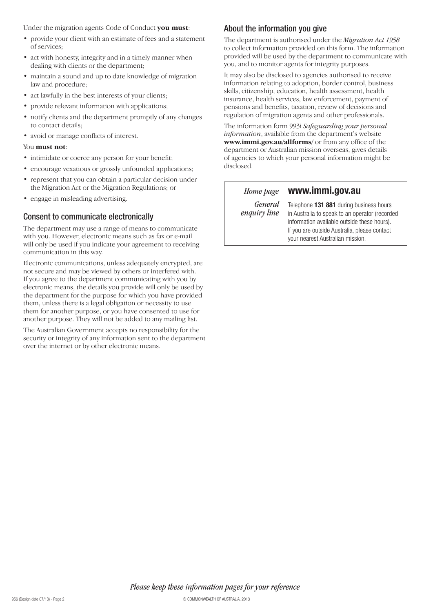Under the migration agents Code of Conduct **you must**:

- provide your client with an estimate of fees and a statement of services;
- act with honesty, integrity and in a timely manner when dealing with clients or the department;
- maintain a sound and up to date knowledge of migration law and procedure;
- act lawfully in the best interests of your clients;
- provide relevant information with applications;
- notify clients and the department promptly of any changes to contact details;
- avoid or manage conflicts of interest.

#### You **must not**:

- intimidate or coerce any person for your benefit;
- encourage vexatious or grossly unfounded applications;
- represent that you can obtain a particular decision under the Migration Act or the Migration Regulations; or
- engage in misleading advertising.

#### Consent to communicate electronically

The department may use a range of means to communicate with you. However, electronic means such as fax or e-mail will only be used if you indicate your agreement to receiving communication in this way.

Electronic communications, unless adequately encrypted, are not secure and may be viewed by others or interfered with. If you agree to the department communicating with you by electronic means, the details you provide will only be used by the department for the purpose for which you have provided them, unless there is a legal obligation or necessity to use them for another purpose, or you have consented to use for another purpose. They will not be added to any mailing list.

The Australian Government accepts no responsibility for the security or integrity of any information sent to the department over the internet or by other electronic means.

### About the information you give

The department is authorised under the *Migration Act 1958* to collect information provided on this form. The information provided will be used by the department to communicate with you, and to monitor agents for integrity purposes.

It may also be disclosed to agencies authorised to receive information relating to adoption, border control, business skills, citizenship, education, health assessment, health insurance, health services, law enforcement, payment of pensions and benefits, taxation, review of decisions and regulation of migration agents and other professionals.

The information form 993i *Safeguarding your personal information*, available from the department's website **www.immi.gov.au/allforms/** or from any office of the department or Australian mission overseas, gives details of agencies to which your personal information might be disclosed.

*Home page*

#### **www.immi.gov.au**

*General enquiry line*

Telephone **131 881** during business hours in Australia to speak to an operator (recorded information available outside these hours). If you are outside Australia, please contact your nearest Australian mission.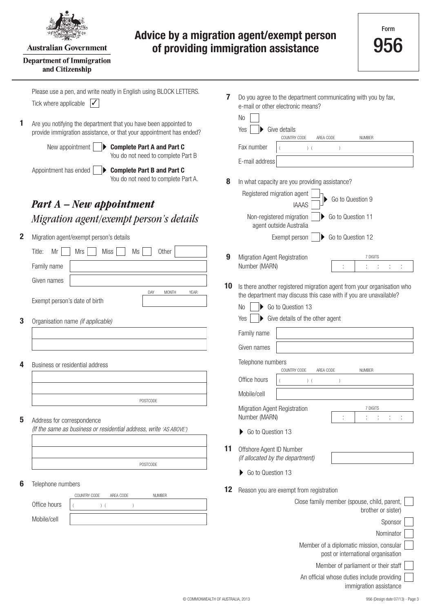

#### **Australian Government**

#### **Department of Immigration** and Citizenship

### **Advice by a migration agent/exempt person of providing immigration assistance**

Please use a pen, and write neatly in English using BLOCK LETTERS. **7** Do you agree to the department communicating with you by fax, Tick where applicable  $\sqrt{\sqrt{ }}$ e-mail or other electronic means? No **1** Are you notifying the department that you have been appointed to Yes ▶ Give details provide immigration assistance, or that your appointment has ended? COUNTRY CODE AREA CODE NUMBER New appointment |  $\blacktriangleright$  **Complete Part A and Part C** Fax number ( ) ( ) You do not need to complete Part B E-mail address Appointment has ended **Complete Part B and Part C** You do not need to complete Part A. **8** In what capacity are you providing assistance? Registered migration agent Go to Question 9 *Part A – New appointment* IAAAS *Migration agent/exempt person's details* Non-registered migration ▶ Go to Question 11 agent outside Australia **2** Migration agent/exempt person's details Go to Question 12 Exempt person Title: Mr | | Mrs | | Miss | | Ms | | Other **9** Migration Agent Registration 7 DIGITS Family name Number (MARN) : : : : : Given names **10** Is there another registered migration agent from your organisation who DAY MONTH YEARthe department may discuss this case with if you are unavailable? Exempt person's date of birth Go to Question 13 No Give details of the other agent Yes  $\blacktriangleright$ **3** Organisation name *(if applicable)* Family name Given names Telephone numbers **4** Business or residential address COUNTRY CODE AREA CODE NUMBER Office hours ( ) ( ) Mobile/cell POSTCODE Migration Agent Registration 7 DIGITS Number (MARN) : : : : : **5** Address for correspondence *(If the same as business or residential address, write 'AS ABOVE')* Go to Question 13 **11** Offshore Agent ID Number *(if allocated by the department)* POSTCODE Go to Question 13 **6** Telephone numbers 12 Reason you are exempt from registration COUNTRY CODE AREA CODE NUMBER Close family member (spouse, child, parent, Office hours  $($  ) ( ) brother or sister) Mobile/cell **Sponsor** Nominator Member of a diplomatic mission, consular post or international organisation Member of parliament or their staff

An official whose duties include providing

immigration assistance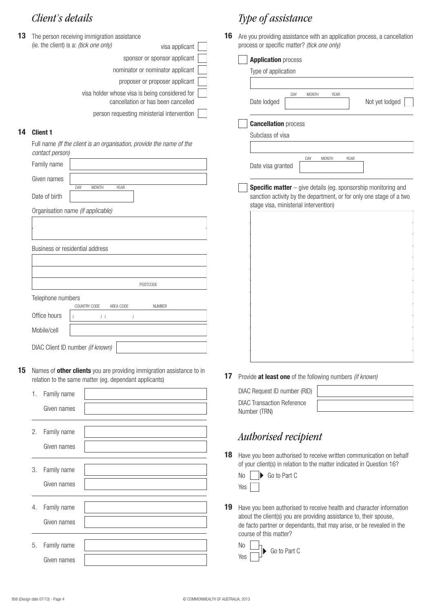| 13 | The person receiving immigration assistance                                          | 16 |
|----|--------------------------------------------------------------------------------------|----|
|    | (ie. the client) is a: <i>(tick one only)</i><br>visa applicant                      |    |
|    | sponsor or sponsor applicant                                                         |    |
|    | nominator or nominator applicant                                                     |    |
|    | proposer or proposer applicant                                                       |    |
|    | visa holder whose visa is being considered for<br>cancellation or has been cancelled |    |
|    | person requesting ministerial intervention                                           |    |
|    |                                                                                      |    |

#### **14 Client 1**

Full name *(If the client is an organisation, provide the name of the contact person)*

| Family name                       |                     |             |  |                 |  |
|-----------------------------------|---------------------|-------------|--|-----------------|--|
| Given names                       |                     |             |  |                 |  |
| Date of birth                     | DAY<br><b>MONTH</b> | <b>YEAR</b> |  |                 |  |
| Organisation name (if applicable) |                     |             |  |                 |  |
|                                   |                     |             |  |                 |  |
|                                   |                     |             |  |                 |  |
| Business or residential address   |                     |             |  |                 |  |
|                                   |                     |             |  |                 |  |
|                                   |                     |             |  |                 |  |
|                                   |                     |             |  | <b>POSTCODE</b> |  |
| Telephone numbers                 |                     |             |  |                 |  |
|                                   | COUNTRY CODE        | AREA CODE   |  | <b>NUMBER</b>   |  |
| Office hours                      |                     | (           |  |                 |  |
| Mobile/cell                       |                     |             |  |                 |  |
| DIAC Client ID number (if known)  |                     |             |  |                 |  |

**15** Names of **other clients** you are providing immigration assistance to in relation to the same matter (eg. dependant applicants)

|    | 1. Family name |  |
|----|----------------|--|
|    | Given names    |  |
|    |                |  |
| 2. | Family name    |  |
|    | Given names    |  |
|    |                |  |
| 3. | Family name    |  |
|    | Given names    |  |
|    |                |  |
|    | 4. Family name |  |
|    | Given names    |  |
|    |                |  |
| 5. | Family name    |  |
|    | Given names    |  |

### *Client's details Type of assistance*

**16** Are you providing assistance with an application process, a cancellation process or specific matter? *(tick one only)*

| <b>Application process</b>                                            |
|-----------------------------------------------------------------------|
| Type of application                                                   |
|                                                                       |
| DAY<br><b>MONTH</b><br>YEAR<br>Date lodged<br>Not yet lodged          |
|                                                                       |
| <b>Cancellation process</b>                                           |
| Subclass of visa                                                      |
|                                                                       |
| DAY<br>YEAR<br><b>MONTH</b><br>Date visa granted                      |
| <b>Specific matter</b> - give details (eg. sponsorship monitoring and |
| sanction activity by the department, or for only one stage of a two   |
| stage visa, ministerial intervention)                                 |
|                                                                       |
|                                                                       |
|                                                                       |
|                                                                       |
|                                                                       |
|                                                                       |
|                                                                       |
|                                                                       |
|                                                                       |
|                                                                       |
|                                                                       |
|                                                                       |
| Provide at least one of the following numbers (if known)              |

**17** Provide **at least one** of the following numbers *(if known)*

| DIAC Request ID number (RID)                      |  |
|---------------------------------------------------|--|
| <b>DIAC Transaction Reference</b><br>Number (TRN) |  |

### *Authorised recipient*

18 Have you been authorised to receive written communication on behalf of your client(s) in relation to the matter indicated in Question 16?

| <b>No</b> | $\triangleright$ Go to Part C |
|-----------|-------------------------------|
| Yes       |                               |

19 Have you been authorised to receive health and character information about the client(s) you are providing assistance to, their spouse, de facto partner or dependants, that may arise, or be revealed in the course of this matter?